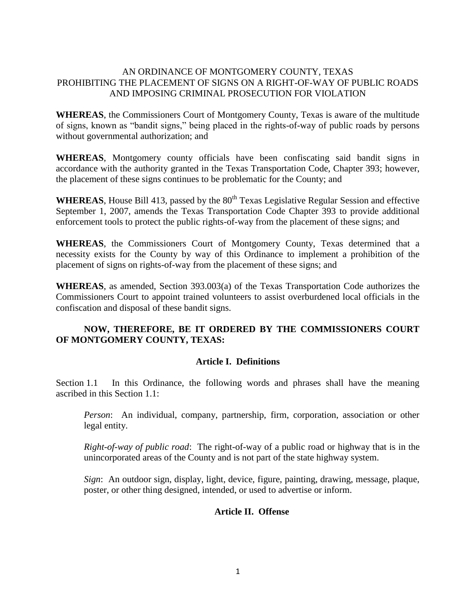## AN ORDINANCE OF MONTGOMERY COUNTY, TEXAS PROHIBITING THE PLACEMENT OF SIGNS ON A RIGHT-OF-WAY OF PUBLIC ROADS AND IMPOSING CRIMINAL PROSECUTION FOR VIOLATION

**WHEREAS**, the Commissioners Court of Montgomery County, Texas is aware of the multitude of signs, known as "bandit signs," being placed in the rights-of-way of public roads by persons without governmental authorization; and

**WHEREAS**, Montgomery county officials have been confiscating said bandit signs in accordance with the authority granted in the Texas Transportation Code, Chapter 393; however, the placement of these signs continues to be problematic for the County; and

WHEREAS, House Bill 413, passed by the 80<sup>th</sup> Texas Legislative Regular Session and effective September 1, 2007, amends the Texas Transportation Code Chapter 393 to provide additional enforcement tools to protect the public rights-of-way from the placement of these signs; and

**WHEREAS**, the Commissioners Court of Montgomery County, Texas determined that a necessity exists for the County by way of this Ordinance to implement a prohibition of the placement of signs on rights-of-way from the placement of these signs; and

**WHEREAS**, as amended, Section 393.003(a) of the Texas Transportation Code authorizes the Commissioners Court to appoint trained volunteers to assist overburdened local officials in the confiscation and disposal of these bandit signs.

# **NOW, THEREFORE, BE IT ORDERED BY THE COMMISSIONERS COURT OF MONTGOMERY COUNTY, TEXAS:**

# **Article I. Definitions**

Section 1.1 In this Ordinance, the following words and phrases shall have the meaning ascribed in this Section 1.1:

*Person*: An individual, company, partnership, firm, corporation, association or other legal entity.

*Right-of-way of public road*: The right-of-way of a public road or highway that is in the unincorporated areas of the County and is not part of the state highway system.

*Sign*: An outdoor sign, display, light, device, figure, painting, drawing, message, plaque, poster, or other thing designed, intended, or used to advertise or inform.

#### **Article II. Offense**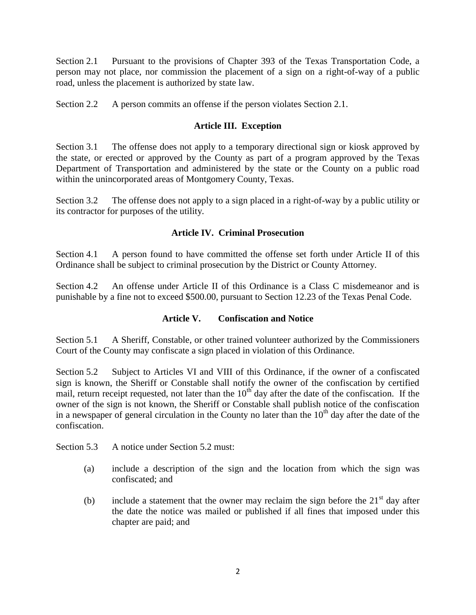Section 2.1 Pursuant to the provisions of Chapter 393 of the Texas Transportation Code, a person may not place, nor commission the placement of a sign on a right-of-way of a public road, unless the placement is authorized by state law.

Section 2.2 A person commits an offense if the person violates Section 2.1.

# **Article III. Exception**

Section 3.1 The offense does not apply to a temporary directional sign or kiosk approved by the state, or erected or approved by the County as part of a program approved by the Texas Department of Transportation and administered by the state or the County on a public road within the unincorporated areas of Montgomery County, Texas.

Section 3.2 The offense does not apply to a sign placed in a right-of-way by a public utility or its contractor for purposes of the utility.

# **Article IV. Criminal Prosecution**

Section 4.1 A person found to have committed the offense set forth under Article II of this Ordinance shall be subject to criminal prosecution by the District or County Attorney.

Section 4.2 An offense under Article II of this Ordinance is a Class C misdemeanor and is punishable by a fine not to exceed \$500.00, pursuant to Section 12.23 of the Texas Penal Code.

# **Article V. Confiscation and Notice**

Section 5.1 A Sheriff, Constable, or other trained volunteer authorized by the Commissioners Court of the County may confiscate a sign placed in violation of this Ordinance.

Section 5.2 Subject to Articles VI and VIII of this Ordinance, if the owner of a confiscated sign is known, the Sheriff or Constable shall notify the owner of the confiscation by certified mail, return receipt requested, not later than the  $10<sup>th</sup>$  day after the date of the confiscation. If the owner of the sign is not known, the Sheriff or Constable shall publish notice of the confiscation in a newspaper of general circulation in the County no later than the  $10<sup>th</sup>$  day after the date of the confiscation.

Section 5.3 A notice under Section 5.2 must:

- (a) include a description of the sign and the location from which the sign was confiscated; and
- (b) include a statement that the owner may reclaim the sign before the  $21<sup>st</sup>$  day after the date the notice was mailed or published if all fines that imposed under this chapter are paid; and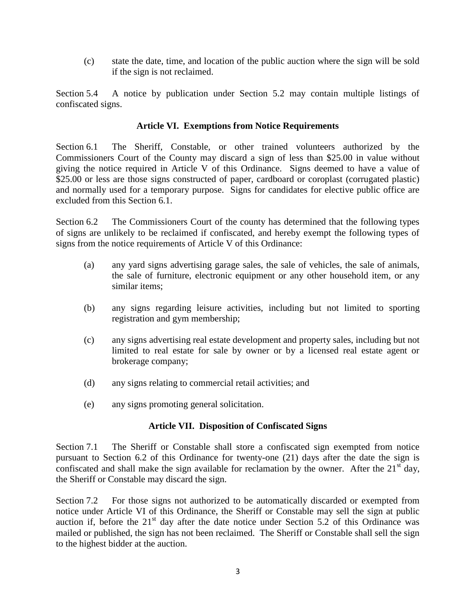(c) state the date, time, and location of the public auction where the sign will be sold if the sign is not reclaimed.

Section 5.4 A notice by publication under Section 5.2 may contain multiple listings of confiscated signs.

## **Article VI. Exemptions from Notice Requirements**

Section 6.1 The Sheriff, Constable, or other trained volunteers authorized by the Commissioners Court of the County may discard a sign of less than \$25.00 in value without giving the notice required in Article V of this Ordinance. Signs deemed to have a value of \$25.00 or less are those signs constructed of paper, cardboard or coroplast (corrugated plastic) and normally used for a temporary purpose. Signs for candidates for elective public office are excluded from this Section 6.1.

Section 6.2 The Commissioners Court of the county has determined that the following types of signs are unlikely to be reclaimed if confiscated, and hereby exempt the following types of signs from the notice requirements of Article V of this Ordinance:

- (a) any yard signs advertising garage sales, the sale of vehicles, the sale of animals, the sale of furniture, electronic equipment or any other household item, or any similar items;
- (b) any signs regarding leisure activities, including but not limited to sporting registration and gym membership;
- (c) any signs advertising real estate development and property sales, including but not limited to real estate for sale by owner or by a licensed real estate agent or brokerage company;
- (d) any signs relating to commercial retail activities; and
- (e) any signs promoting general solicitation.

# **Article VII. Disposition of Confiscated Signs**

Section 7.1 The Sheriff or Constable shall store a confiscated sign exempted from notice pursuant to Section 6.2 of this Ordinance for twenty-one (21) days after the date the sign is confiscated and shall make the sign available for reclamation by the owner. After the  $21<sup>st</sup>$  day, the Sheriff or Constable may discard the sign.

Section 7.2 For those signs not authorized to be automatically discarded or exempted from notice under Article VI of this Ordinance, the Sheriff or Constable may sell the sign at public auction if, before the  $21<sup>st</sup>$  day after the date notice under Section 5.2 of this Ordinance was mailed or published, the sign has not been reclaimed. The Sheriff or Constable shall sell the sign to the highest bidder at the auction.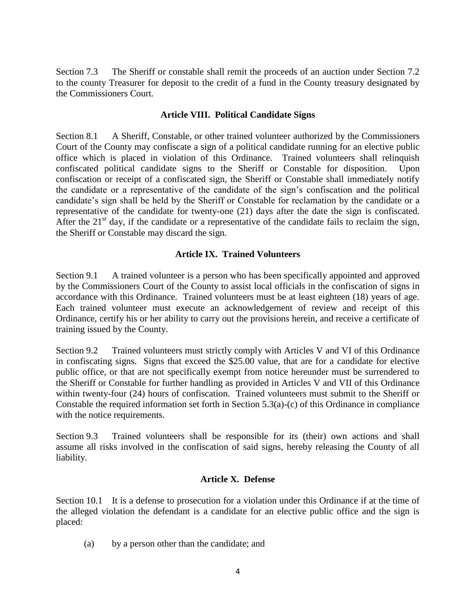Section 7.3 The Sheriff or constable shall remit the proceeds of an auction under Section 7.2 to the county Treasurer for deposit to the credit of a fund in the County treasury designated by the Commissioners Court.

#### **Article VIII. Political Candidate Signs**

Section 8.1 A Sheriff, Constable, or other trained volunteer authorized by the Commissioners Court of the County may confiscate a sign of a political candidate running for an elective public office which is placed in violation of this Ordinance. Trained volunteers shall relinquish confiscated political candidate signs to the Sheriff or Constable for disposition. Upon confiscation or receipt of a confiscated sign, the Sheriff or Constable shall immediately notify the candidate or a representative of the candidate of the sign's confiscation and the political candidate's sign shall be held by the Sheriff or Constable for reclamation by the candidate or a representative of the candidate for twenty-one (21) days after the date the sign is confiscated. After the  $21<sup>st</sup>$  day, if the candidate or a representative of the candidate fails to reclaim the sign, the Sheriff or Constable may discard the sign.

## **Article IX. Trained Volunteers**

Section 9.1 A trained volunteer is a person who has been specifically appointed and approved by the Commissioners Court of the County to assist local officials in the confiscation of signs in accordance with this Ordinance. Trained volunteers must be at least eighteen (18) years of age. Each trained volunteer must execute an acknowledgement of review and receipt of this Ordinance, certify his or her ability to carry out the provisions herein, and receive a certificate of training issued by the County.

Section 9.2 Trained volunteers must strictly comply with Articles V and VI of this Ordinance in confiscating signs. Signs that exceed the \$25.00 value, that are for a candidate for elective public office, or that are not specifically exempt from notice hereunder must be surrendered to the Sheriff or Constable for further handling as provided in Articles V and VII of this Ordinance within twenty-four (24) hours of confiscation. Trained volunteers must submit to the Sheriff or Constable the required information set forth in Section 5.3(a)-(c) of this Ordinance in compliance with the notice requirements.

Section 9.3 Trained volunteers shall be responsible for its (their) own actions and shall assume all risks involved in the confiscation of said signs, hereby releasing the County of all liability.

#### **Article X. Defense**

Section 10.1 It is a defense to prosecution for a violation under this Ordinance if at the time of the alleged violation the defendant is a candidate for an elective public office and the sign is placed:

(a) by a person other than the candidate; and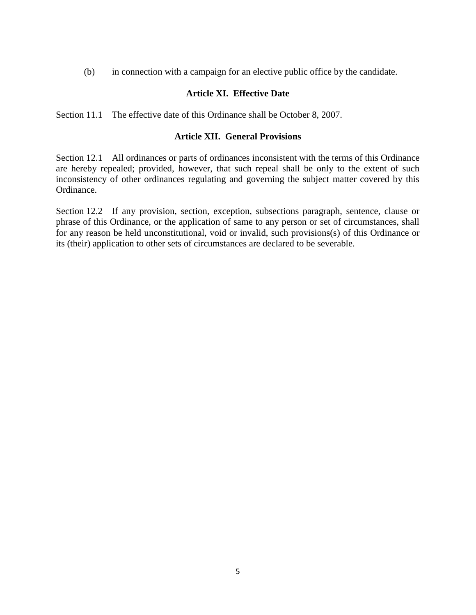(b) in connection with a campaign for an elective public office by the candidate.

## **Article XI. Effective Date**

Section 11.1 The effective date of this Ordinance shall be October 8, 2007.

#### **Article XII. General Provisions**

Section 12.1 All ordinances or parts of ordinances inconsistent with the terms of this Ordinance are hereby repealed; provided, however, that such repeal shall be only to the extent of such inconsistency of other ordinances regulating and governing the subject matter covered by this Ordinance.

Section 12.2 If any provision, section, exception, subsections paragraph, sentence, clause or phrase of this Ordinance, or the application of same to any person or set of circumstances, shall for any reason be held unconstitutional, void or invalid, such provisions(s) of this Ordinance or its (their) application to other sets of circumstances are declared to be severable.